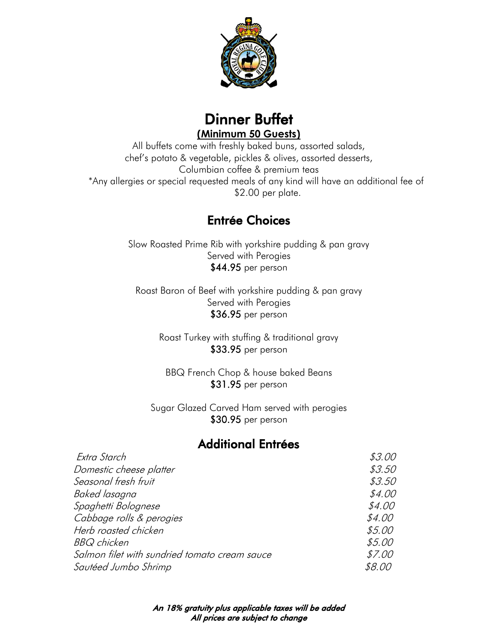



All buffets come with freshly baked buns, assorted salads, chef's potato & vegetable, pickles & olives, assorted desserts, Columbian coffee & premium teas \*Any allergies or special requested meals of any kind will have an additional fee of \$2.00 per plate.

## Entrée Choices

Slow Roasted Prime Rib with yorkshire pudding & pan gravy Served with Perogies \$44.95 per person

Roast Baron of Beef with yorkshire pudding & pan gravy Served with Perogies \$36.95 per person

> Roast Turkey with stuffing & traditional gravy \$33.95 per person

BBQ French Chop & house baked Beans \$31.95 per person

Sugar Glazed Carved Ham served with perogies \$30.95 per person

## Additional Entrées

| Extra Starch                                  | \$3.00 |
|-----------------------------------------------|--------|
| Domestic cheese platter                       | \$3.50 |
| Seasonal fresh fruit                          | \$3.50 |
| Baked lasagna                                 | \$4.00 |
| Spaghetti Bolognese                           | \$4.00 |
| Cabbage rolls & perogies                      | \$4.00 |
| Herb roasted chicken                          | \$5.00 |
| <b>BBQ</b> chicken                            | \$5.00 |
| Salmon filet with sundried tomato cream sauce | \$7.00 |
| Sautéed Jumbo Shrimp                          | \$8.00 |
|                                               |        |

An 18% gratuity plus applicable taxes will be added All prices are subject to change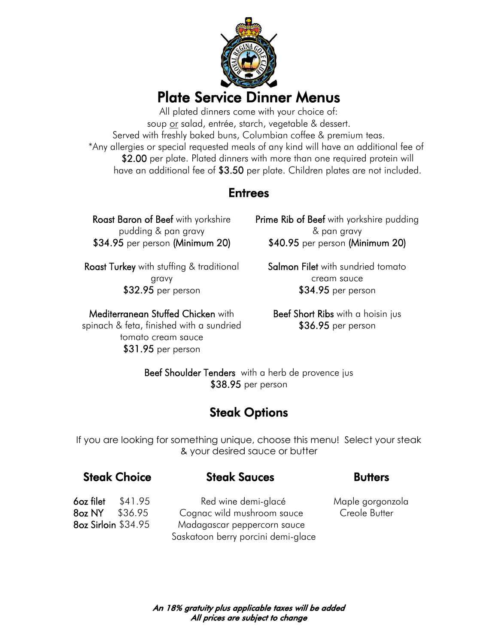

All plated dinners come with your choice of: soup <u>or</u> salad, entrée, starch, vegetable & dessert. Served with freshly baked buns, Columbian coffee & premium teas. \*Any allergies or special requested meals of any kind will have an additional fee of \$2.00 per plate. Plated dinners with more than one required protein will have an additional fee of \$3.50 per plate. Children plates are not included.

## **Entrees**

Roast Baron of Beef with yorkshire pudding & pan gravy \$34.95 per person (Minimum 20)

**Roast Turkey** with stuffing & traditional gravy \$32.95 per person

Mediterranean Stuffed Chicken with

spinach & feta, finished with a sundried tomato cream sauce \$31.95 per person

**Prime Rib of Beef** with yorkshire pudding & pan gravy \$40.95 per person (Minimum 20)

Salmon Filet with sundried tomato cream sauce \$34.95 per person

Beef Short Ribs with a hoisin jus \$36.95 per person

Beef Shoulder Tenders with a herb de provence jus \$38.95 per person

## Steak Options

If you are looking for something unique, choose this menu! Select your steak & your desired sauce or butter

### **Steak Choice Steak Sauces Butters**

6oz filet \$41.95 Red wine demi-glacé Maple gorgonzola 8oz NY \$36.95 Cognac wild mushroom sauce Creole Butter 8oz Sirloin \$34.95 Madagascar peppercorn sauce Saskatoon berry porcini demi-glace

An 18% gratuity plus applicable taxes will be added All prices are subject to change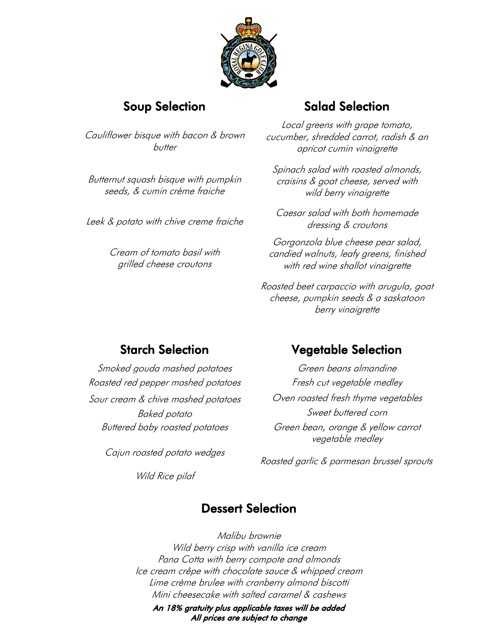

Cauliflower bisque with bacon & brown butter

Butternut squash bisque with pumpkin seeds, & cumin crème fraiche

Leek & potato with chive creme fraiche

Cream of tomato basil with grilled cheese croutons

## Soup Selection Salad Selection

Local greens with grape tomato, cucumber, shredded carrot, radish & an apricot cumin vinaigrette

Spinach salad with roasted almonds, craisins & goat cheese, served with wild berry vinaigrette

Caesar salad with both homemade dressing & croutons

Gorgonzola blue cheese pear salad, candied walnuts, leafy greens, finished with red wine shallot vinaigrette

Roasted beet carpaccio with arugula, goat cheese, pumpkin seeds & a saskatoon berry vinaigrette

Smoked gouda mashed potatoes Green beans almandine Roasted red pepper mashed potatoes Fresh cut vegetable medley Sour cream & chive mashed potatoes Oven roasted fresh thyme vegetables

Cajun roasted potato wedges

Wild Rice pilaf

## Starch Selection Vegetable Selection

Baked potato **Sweet buttered corn** Buttered baby roasted potatoes Green bean, orange & yellow carrot vegetable medley

Roasted garlic & parmesan brussel sprouts

## Dessert Selection

Malibu brownie Wild berry crisp with vanilla ice cream Pana Cotta with berry compote and almonds Ice cream crêpe with chocolate sauce & whipped cream Lime crème brulee with cranberry almond biscotti Mini cheesecake with salted caramel & cashews

An 18% gratuity plus applicable taxes will be added All prices are subject to change